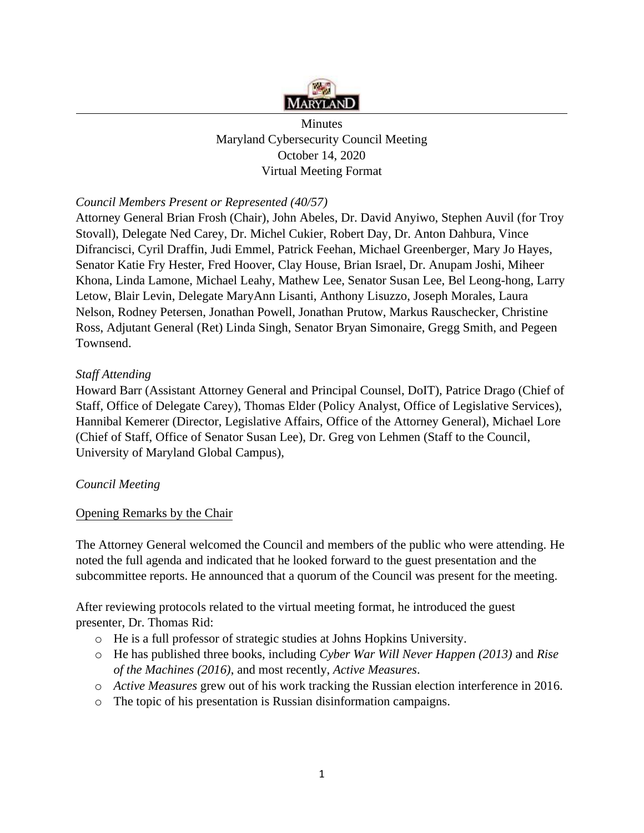

**Minutes** Maryland Cybersecurity Council Meeting October 14, 2020 Virtual Meeting Format

# *Council Members Present or Represented (40/57)*

Attorney General Brian Frosh (Chair), John Abeles, Dr. David Anyiwo, Stephen Auvil (for Troy Stovall), Delegate Ned Carey, Dr. Michel Cukier, Robert Day, Dr. Anton Dahbura, Vince Difrancisci, Cyril Draffin, Judi Emmel, Patrick Feehan, Michael Greenberger, Mary Jo Hayes, Senator Katie Fry Hester, Fred Hoover, Clay House, Brian Israel, Dr. Anupam Joshi, Miheer Khona, Linda Lamone, Michael Leahy, Mathew Lee, Senator Susan Lee, Bel Leong-hong, Larry Letow, Blair Levin, Delegate MaryAnn Lisanti, Anthony Lisuzzo, Joseph Morales, Laura Nelson, Rodney Petersen, Jonathan Powell, Jonathan Prutow, Markus Rauschecker, Christine Ross, Adjutant General (Ret) Linda Singh, Senator Bryan Simonaire, Gregg Smith, and Pegeen Townsend.

## *Staff Attending*

Howard Barr (Assistant Attorney General and Principal Counsel, DoIT), Patrice Drago (Chief of Staff, Office of Delegate Carey), Thomas Elder (Policy Analyst, Office of Legislative Services), Hannibal Kemerer (Director, Legislative Affairs, Office of the Attorney General), Michael Lore (Chief of Staff, Office of Senator Susan Lee), Dr. Greg von Lehmen (Staff to the Council, University of Maryland Global Campus),

#### *Council Meeting*

#### Opening Remarks by the Chair

The Attorney General welcomed the Council and members of the public who were attending. He noted the full agenda and indicated that he looked forward to the guest presentation and the subcommittee reports. He announced that a quorum of the Council was present for the meeting.

After reviewing protocols related to the virtual meeting format, he introduced the guest presenter, Dr. Thomas Rid:

- o He is a full professor of strategic studies at Johns Hopkins University.
- o He has published three books, including *Cyber War Will Never Happen (2013)* and *Rise of the Machines (2016)*, and most recently, *Active Measures*.
- o *Active Measures* grew out of his work tracking the Russian election interference in 2016.
- o The topic of his presentation is Russian disinformation campaigns.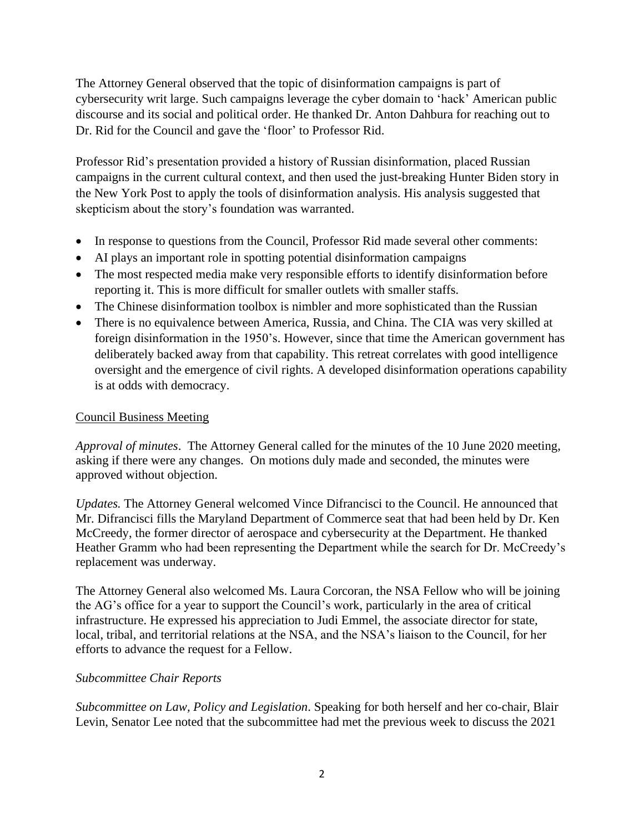Dr. Rid for the Council and gave the 'floor' to Professor Rid. The Attorney General observed that the topic of disinformation campaigns is part of cybersecurity writ large. Such campaigns leverage the cyber domain to 'hack' American public discourse and its social and political order. He thanked Dr. Anton Dahbura for reaching out to

Professor Rid's presentation provided a history of Russian disinformation, placed Russian campaigns in the current cultural context, and then used the just-breaking Hunter Biden story in the New York Post to apply the tools of disinformation analysis. His analysis suggested that skepticism about the story's foundation was warranted.

- In response to questions from the Council, Professor Rid made several other comments:
- AI plays an important role in spotting potential disinformation campaigns
- The most respected media make very responsible efforts to identify disinformation before reporting it. This is more difficult for smaller outlets with smaller staffs.
- The Chinese disinformation toolbox is nimbler and more sophisticated than the Russian
- There is no equivalence between America, Russia, and China. The CIA was very skilled at foreign disinformation in the 1950's. However, since that time the American government has deliberately backed away from that capability. This retreat correlates with good intelligence oversight and the emergence of civil rights. A developed disinformation operations capability is at odds with democracy.

### Council Business Meeting

*Approval of minutes*. The Attorney General called for the minutes of the 10 June 2020 meeting, asking if there were any changes. On motions duly made and seconded, the minutes were approved without objection.

 McCreedy, the former director of aerospace and cybersecurity at the Department. He thanked Heather Gramm who had been representing the Department while the search for Dr. McCreedy's *Updates.* The Attorney General welcomed Vince Difrancisci to the Council. He announced that Mr. Difrancisci fills the Maryland Department of Commerce seat that had been held by Dr. Ken replacement was underway.

 efforts to advance the request for a Fellow. The Attorney General also welcomed Ms. Laura Corcoran, the NSA Fellow who will be joining the AG's office for a year to support the Council's work, particularly in the area of critical infrastructure. He expressed his appreciation to Judi Emmel, the associate director for state, local, tribal, and territorial relations at the NSA, and the NSA's liaison to the Council, for her

#### *Subcommittee Chair Reports*

*Subcommittee on Law, Policy and Legislation*. Speaking for both herself and her co-chair, Blair Levin, Senator Lee noted that the subcommittee had met the previous week to discuss the 2021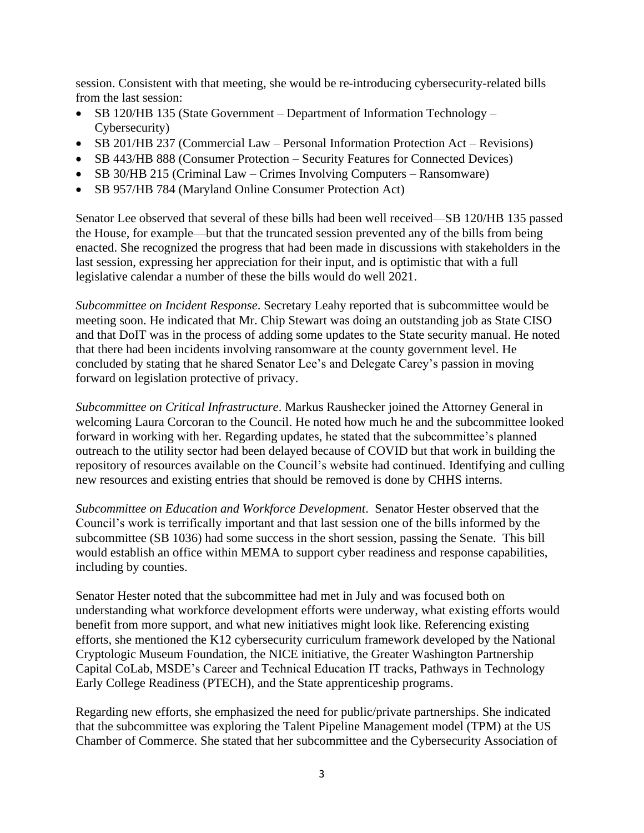from the last session: session. Consistent with that meeting, she would be re-introducing cybersecurity-related bills

- SB 120/HB 135 (State Government Department of Information Technology Cybersecurity)
- SB 201/HB 237 (Commercial Law Personal Information Protection Act Revisions)
- SB 443/HB 888 (Consumer Protection Security Features for Connected Devices)
- SB 30/HB 215 (Criminal Law Crimes Involving Computers Ransomware)
- SB 957/HB 784 (Maryland Online Consumer Protection Act)

 legislative calendar a number of these the bills would do well 2021. Senator Lee observed that several of these bills had been well received—SB 120/HB 135 passed the House, for example—but that the truncated session prevented any of the bills from being enacted. She recognized the progress that had been made in discussions with stakeholders in the last session, expressing her appreciation for their input, and is optimistic that with a full

*Subcommittee on Incident Response*. Secretary Leahy reported that is subcommittee would be meeting soon. He indicated that Mr. Chip Stewart was doing an outstanding job as State CISO and that DoIT was in the process of adding some updates to the State security manual. He noted that there had been incidents involving ransomware at the county government level. He concluded by stating that he shared Senator Lee's and Delegate Carey's passion in moving forward on legislation protective of privacy.

*Subcommittee on Critical Infrastructure*. Markus Raushecker joined the Attorney General in welcoming Laura Corcoran to the Council. He noted how much he and the subcommittee looked forward in working with her. Regarding updates, he stated that the subcommittee's planned outreach to the utility sector had been delayed because of COVID but that work in building the repository of resources available on the Council's website had continued. Identifying and culling new resources and existing entries that should be removed is done by CHHS interns.

 subcommittee (SB 1036) had some success in the short session, passing the Senate. This bill *Subcommittee on Education and Workforce Development*. Senator Hester observed that the Council's work is terrifically important and that last session one of the bills informed by the would establish an office within MEMA to support cyber readiness and response capabilities, including by counties.

Senator Hester noted that the subcommittee had met in July and was focused both on understanding what workforce development efforts were underway, what existing efforts would benefit from more support, and what new initiatives might look like. Referencing existing efforts, she mentioned the K12 cybersecurity curriculum framework developed by the National Cryptologic Museum Foundation, the NICE initiative, the Greater Washington Partnership Capital CoLab, MSDE's Career and Technical Education IT tracks, Pathways in Technology Early College Readiness (PTECH), and the State apprenticeship programs.

Regarding new efforts, she emphasized the need for public/private partnerships. She indicated that the subcommittee was exploring the Talent Pipeline Management model (TPM) at the US Chamber of Commerce. She stated that her subcommittee and the Cybersecurity Association of